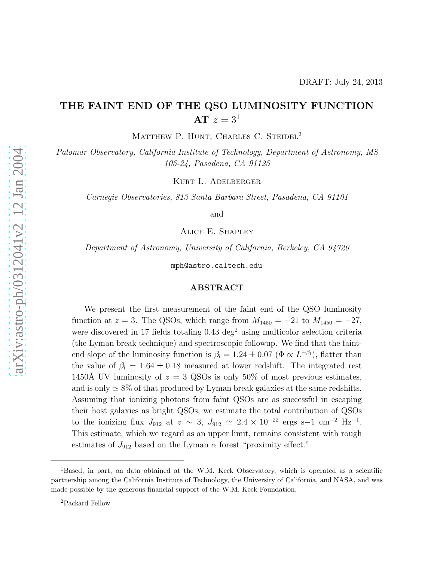# DRAFT: July 24, 2013

# THE FAINT END OF THE QSO LUMINOSITY FUNCTION AT  $z = 3<sup>1</sup>$

MATTHEW P. HUNT, CHARLES C. STEIDEL<sup>2</sup>

Palomar Observatory, California Institute of Technology, Department of Astronomy, MS 105-24, Pasadena, CA 91125

Kurt L. Adelberger

Carnegie Observatories, 813 Santa Barbara Street, Pasadena, CA 91101

and

Alice E. Shapley

Department of Astronomy, University of California, Berkeley, CA 94720

mph@astro.caltech.edu

### ABSTRACT

We present the first measurement of the faint end of the QSO luminosity function at  $z = 3$ . The QSOs, which range from  $M_{1450} = -21$  to  $M_{1450} = -27$ , were discovered in 17 fields totaling  $0.43 \text{ deg}^2$  using multicolor selection criteria (the Lyman break technique) and spectroscopic followup. We find that the faintend slope of the luminosity function is  $\beta_l = 1.24 \pm 0.07 \; (\Phi \propto L^{-\beta_l})$ , flatter than the value of  $\beta_l = 1.64 \pm 0.18$  measured at lower redshift. The integrated rest 1450Å UV luminosity of  $z = 3$  QSOs is only 50% of most previous estimates, and is only  $\simeq 8\%$  of that produced by Lyman break galaxies at the same redshifts. Assuming that ionizing photons from faint QSOs are as successful in escaping their host galaxies as bright QSOs, we estimate the total contribution of QSOs to the ionizing flux  $J_{912}$  at  $z \sim 3$ ,  $J_{912} \simeq 2.4 \times 10^{-22}$  ergs s-1 cm<sup>-2</sup> Hz<sup>-1</sup>. This estimate, which we regard as an upper limit, remains consistent with rough estimates of  $J_{912}$  based on the Lyman  $\alpha$  forest "proximity effect."

<sup>1</sup>Based, in part, on data obtained at the W.M. Keck Observatory, which is operated as a scientific partnership among the California Institute of Technology, the University of California, and NASA, and was made possible by the generous financial support of the W.M. Keck Foundation.

<sup>2</sup>Packard Fellow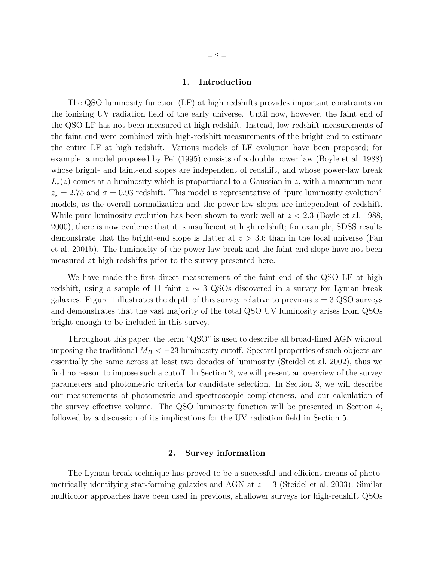# 1. Introduction

The QSO luminosity function (LF) at high redshifts provides important constraints on the ionizing UV radiation field of the early universe. Until now, however, the faint end of the QSO LF has not been measured at high redshift. Instead, low-redshift measurements of the faint end were combined with high-redshift measurements of the bright end to estimate the entire LF at high redshift. Various models of LF evolution have been proposed; for example, a model proposed by Pei (1995) consists of a double power law (Boyle et al. 1988) whose bright- and faint-end slopes are independent of redshift, and whose power-law break  $L_z(z)$  comes at a luminosity which is proportional to a Gaussian in z, with a maximum near  $z_{\star} = 2.75$  and  $\sigma = 0.93$  redshift. This model is representative of "pure luminosity evolution" models, as the overall normalization and the power-law slopes are independent of redshift. While pure luminosity evolution has been shown to work well at  $z < 2.3$  (Boyle et al. 1988, 2000), there is now evidence that it is insufficient at high redshift; for example, SDSS results demonstrate that the bright-end slope is flatter at  $z > 3.6$  than in the local universe (Fan et al. 2001b). The luminosity of the power law break and the faint-end slope have not been measured at high redshifts prior to the survey presented here.

We have made the first direct measurement of the faint end of the QSO LF at high redshift, using a sample of 11 faint  $z \sim 3$  QSOs discovered in a survey for Lyman break galaxies. Figure 1 illustrates the depth of this survey relative to previous  $z = 3$  QSO surveys and demonstrates that the vast majority of the total QSO UV luminosity arises from QSOs bright enough to be included in this survey.

Throughout this paper, the term "QSO" is used to describe all broad-lined AGN without imposing the traditional  $M_B < -23$  luminosity cutoff. Spectral properties of such objects are essentially the same across at least two decades of luminosity (Steidel et al. 2002), thus we find no reason to impose such a cutoff. In Section 2, we will present an overview of the survey parameters and photometric criteria for candidate selection. In Section 3, we will describe our measurements of photometric and spectroscopic completeness, and our calculation of the survey effective volume. The QSO luminosity function will be presented in Section 4, followed by a discussion of its implications for the UV radiation field in Section 5.

### 2. Survey information

The Lyman break technique has proved to be a successful and efficient means of photometrically identifying star-forming galaxies and AGN at  $z = 3$  (Steidel et al. 2003). Similar multicolor approaches have been used in previous, shallower surveys for high-redshift QSOs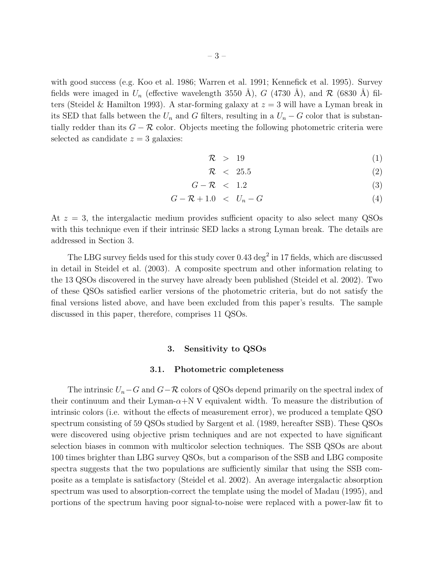with good success (e.g. Koo et al. 1986; Warren et al. 1991; Kennefick et al. 1995). Survey

fields were imaged in  $U_n$  (effective wavelength 3550 Å), G (4730 Å), and R (6830 Å) filters (Steidel & Hamilton 1993). A star-forming galaxy at  $z = 3$  will have a Lyman break in its SED that falls between the  $U_n$  and G filters, resulting in a  $U_n - G$  color that is substantially redder than its  $G - \mathcal{R}$  color. Objects meeting the following photometric criteria were selected as candidate  $z = 3$  galaxies:

$$
\mathcal{R} > 19 \tag{1}
$$

$$
\mathcal{R} \quad < \quad 25.5 \tag{2}
$$

$$
G - \mathcal{R} < 1.2 \tag{3}
$$

$$
G - \mathcal{R} + 1.0 < U_n - G \tag{4}
$$

At  $z = 3$ , the intergalactic medium provides sufficient opacity to also select many QSOs with this technique even if their intrinsic SED lacks a strong Lyman break. The details are addressed in Section 3.

The LBG survey fields used for this study cover  $0.43 \text{ deg}^2$  in 17 fields, which are discussed in detail in Steidel et al. (2003). A composite spectrum and other information relating to the 13 QSOs discovered in the survey have already been published (Steidel et al. 2002). Two of these QSOs satisfied earlier versions of the photometric criteria, but do not satisfy the final versions listed above, and have been excluded from this paper's results. The sample discussed in this paper, therefore, comprises 11 QSOs.

# 3. Sensitivity to QSOs

#### 3.1. Photometric completeness

The intrinsic  $U_n-G$  and  $G-\mathcal{R}$  colors of QSOs depend primarily on the spectral index of their continuum and their Lyman- $\alpha+N$  V equivalent width. To measure the distribution of intrinsic colors (i.e. without the effects of measurement error), we produced a template QSO spectrum consisting of 59 QSOs studied by Sargent et al. (1989, hereafter SSB). These QSOs were discovered using objective prism techniques and are not expected to have significant selection biases in common with multicolor selection techniques. The SSB QSOs are about 100 times brighter than LBG survey QSOs, but a comparison of the SSB and LBG composite spectra suggests that the two populations are sufficiently similar that using the SSB composite as a template is satisfactory (Steidel et al. 2002). An average intergalactic absorption spectrum was used to absorption-correct the template using the model of Madau (1995), and portions of the spectrum having poor signal-to-noise were replaced with a power-law fit to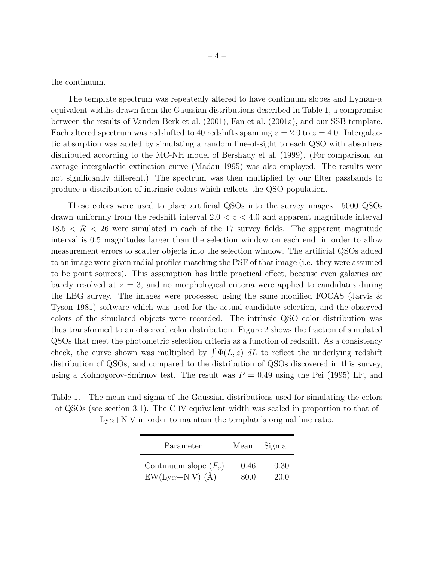the continuum.

The template spectrum was repeatedly altered to have continuum slopes and Lyman- $\alpha$ equivalent widths drawn from the Gaussian distributions described in Table 1, a compromise between the results of Vanden Berk et al. (2001), Fan et al. (2001a), and our SSB template. Each altered spectrum was redshifted to 40 redshifts spanning  $z = 2.0$  to  $z = 4.0$ . Intergalactic absorption was added by simulating a random line-of-sight to each QSO with absorbers distributed according to the MC-NH model of Bershady et al. (1999). (For comparison, an average intergalactic extinction curve (Madau 1995) was also employed. The results were not significantly different.) The spectrum was then multiplied by our filter passbands to produce a distribution of intrinsic colors which reflects the QSO population.

These colors were used to place artificial QSOs into the survey images. 5000 QSOs drawn uniformly from the redshift interval  $2.0 < z < 4.0$  and apparent magnitude interval  $18.5 < \mathcal{R} < 26$  were simulated in each of the 17 survey fields. The apparent magnitude interval is 0.5 magnitudes larger than the selection window on each end, in order to allow measurement errors to scatter objects into the selection window. The artificial QSOs added to an image were given radial profiles matching the PSF of that image (i.e. they were assumed to be point sources). This assumption has little practical effect, because even galaxies are barely resolved at  $z = 3$ , and no morphological criteria were applied to candidates during the LBG survey. The images were processed using the same modified FOCAS (Jarvis & Tyson 1981) software which was used for the actual candidate selection, and the observed colors of the simulated objects were recorded. The intrinsic QSO color distribution was thus transformed to an observed color distribution. Figure 2 shows the fraction of simulated QSOs that meet the photometric selection criteria as a function of redshift. As a consistency check, the curve shown was multiplied by  $\int \Phi(L, z) dL$  to reflect the underlying redshift distribution of QSOs, and compared to the distribution of QSOs discovered in this survey, using a Kolmogorov-Smirnov test. The result was  $P = 0.49$  using the Pei (1995) LF, and

Table 1. The mean and sigma of the Gaussian distributions used for simulating the colors of QSOs (see section 3.1). The C IV equivalent width was scaled in proportion to that of  $Ly\alpha+N$  V in order to maintain the template's original line ratio.

| Parameter                 | Mean | Sigma |
|---------------------------|------|-------|
| Continuum slope $(F_\nu)$ | 0.46 | 0.30  |
| $EW(Ly\alpha+N V)$ (Å)    | 80 O | 20.0  |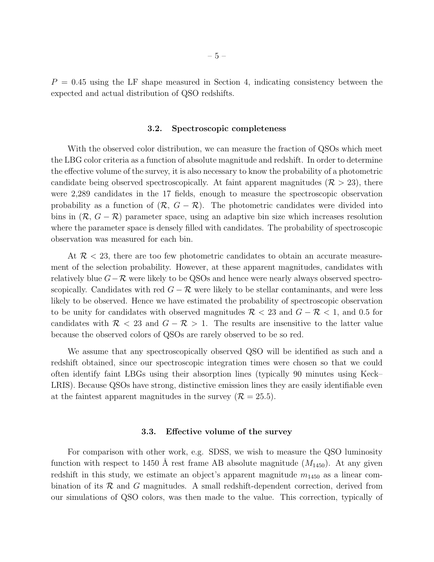$P = 0.45$  using the LF shape measured in Section 4, indicating consistency between the expected and actual distribution of QSO redshifts.

#### 3.2. Spectroscopic completeness

With the observed color distribution, we can measure the fraction of QSOs which meet the LBG color criteria as a function of absolute magnitude and redshift. In order to determine the effective volume of the survey, it is also necessary to know the probability of a photometric candidate being observed spectroscopically. At faint apparent magnitudes ( $\mathcal{R} > 23$ ), there were 2,289 candidates in the 17 fields, enough to measure the spectroscopic observation probability as a function of  $(\mathcal{R}, G - \mathcal{R})$ . The photometric candidates were divided into bins in  $(\mathcal{R}, G - \mathcal{R})$  parameter space, using an adaptive bin size which increases resolution where the parameter space is densely filled with candidates. The probability of spectroscopic observation was measured for each bin.

At  $\mathcal{R}$  < 23, there are too few photometric candidates to obtain an accurate measurement of the selection probability. However, at these apparent magnitudes, candidates with relatively blue  $G-\mathcal{R}$  were likely to be QSOs and hence were nearly always observed spectroscopically. Candidates with red  $G - \mathcal{R}$  were likely to be stellar contaminants, and were less likely to be observed. Hence we have estimated the probability of spectroscopic observation to be unity for candidates with observed magnitudes  $\mathcal{R}$  < 23 and  $G - \mathcal{R}$  < 1, and 0.5 for candidates with  $\mathcal{R}$  < 23 and  $G - \mathcal{R} > 1$ . The results are insensitive to the latter value because the observed colors of QSOs are rarely observed to be so red.

We assume that any spectroscopically observed QSO will be identified as such and a redshift obtained, since our spectroscopic integration times were chosen so that we could often identify faint LBGs using their absorption lines (typically 90 minutes using Keck– LRIS). Because QSOs have strong, distinctive emission lines they are easily identifiable even at the faintest apparent magnitudes in the survey  $(\mathcal{R} = 25.5)$ .

# 3.3. Effective volume of the survey

For comparison with other work, e.g. SDSS, we wish to measure the QSO luminosity function with respect to 1450 Å rest frame AB absolute magnitude  $(M_{1450})$ . At any given redshift in this study, we estimate an object's apparent magnitude  $m_{1450}$  as a linear combination of its  $\mathcal R$  and  $G$  magnitudes. A small redshift-dependent correction, derived from our simulations of QSO colors, was then made to the value. This correction, typically of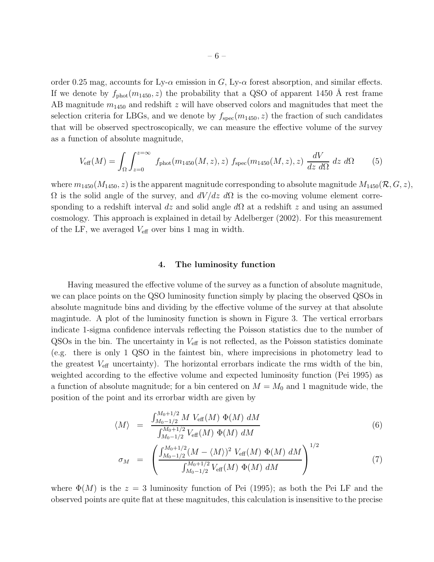order 0.25 mag, accounts for Ly- $\alpha$  emission in G, Ly- $\alpha$  forest absorption, and similar effects. If we denote by  $f_{\text{phot}}(m_{1450}, z)$  the probability that a QSO of apparent 1450 Å rest frame AB magnitude  $m_{1450}$  and redshift z will have observed colors and magnitudes that meet the selection criteria for LBGs, and we denote by  $f_{\rm spec}(m_{1450}, z)$  the fraction of such candidates that will be observed spectroscopically, we can measure the effective volume of the survey as a function of absolute magnitude,

$$
V_{\text{eff}}(M) = \int_{\Omega} \int_{z=0}^{z=\infty} f_{\text{phot}}(m_{1450}(M, z), z) f_{\text{spec}}(m_{1450}(M, z), z) \frac{dV}{dz d\Omega} dz d\Omega \tag{5}
$$

where  $m_{1450}(M_{1450}, z)$  is the apparent magnitude corresponding to absolute magnitude  $M_{1450}(\mathcal{R}, G, z)$ ,  $Ω$  is the solid angle of the survey, and  $dV/dz dΩ$  is the co-moving volume element corresponding to a redshift interval dz and solid angle  $d\Omega$  at a redshift z and using an assumed cosmology. This approach is explained in detail by Adelberger (2002). For this measurement of the LF, we averaged  $V_{\text{eff}}$  over bins 1 mag in width.

# 4. The luminosity function

Having measured the effective volume of the survey as a function of absolute magnitude, we can place points on the QSO luminosity function simply by placing the observed QSOs in absolute magnitude bins and dividing by the effective volume of the survey at that absolute magintude. A plot of the luminosity function is shown in Figure 3. The vertical errorbars indicate 1-sigma confidence intervals reflecting the Poisson statistics due to the number of  $QSOs$  in the bin. The uncertainty in  $V_{\text{eff}}$  is not reflected, as the Poisson statistics dominate (e.g. there is only 1 QSO in the faintest bin, where imprecisions in photometry lead to the greatest  $V_{\text{eff}}$  uncertainty). The horizontal errorbars indicate the rms width of the bin, weighted according to the effective volume and expected luminosity function (Pei 1995) as a function of absolute magnitude; for a bin centered on  $M = M_0$  and 1 magnitude wide, the position of the point and its errorbar width are given by

$$
\langle M \rangle = \frac{\int_{M_0 - 1/2}^{M_0 + 1/2} M V_{\text{eff}}(M) \Phi(M) dM}{\int_{M_0 - 1/2}^{M_0 + 1/2} V_{\text{eff}}(M) \Phi(M) dM}
$$
(6)

$$
\sigma_M = \left( \frac{\int_{M_0 - 1/2}^{M_0 + 1/2} (M - \langle M \rangle)^2 V_{\text{eff}}(M) \Phi(M) dM}{\int_{M_0 - 1/2}^{M_0 + 1/2} V_{\text{eff}}(M) \Phi(M) dM} \right)^{1/2}
$$
(7)

where  $\Phi(M)$  is the  $z = 3$  luminosity function of Pei (1995); as both the Pei LF and the observed points are quite flat at these magnitudes, this calculation is insensitive to the precise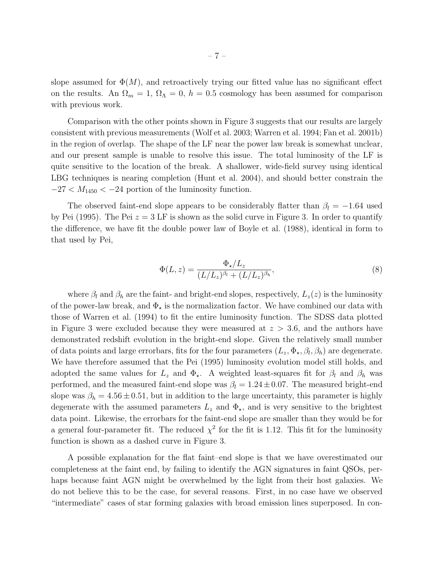slope assumed for  $\Phi(M)$ , and retroactively trying our fitted value has no significant effect on the results. An  $\Omega_m = 1$ ,  $\Omega_{\Lambda} = 0$ ,  $h = 0.5$  cosmology has been assumed for comparison with previous work.

Comparison with the other points shown in Figure 3 suggests that our results are largely consistent with previous measurements (Wolf et al. 2003; Warren et al. 1994; Fan et al. 2001b) in the region of overlap. The shape of the LF near the power law break is somewhat unclear, and our present sample is unable to resolve this issue. The total luminosity of the LF is quite sensitive to the location of the break. A shallower, wide-field survey using identical LBG techniques is nearing completion (Hunt et al. 2004), and should better constrain the  $-27 < M_{1450} < -24$  portion of the luminosity function.

The observed faint-end slope appears to be considerably flatter than  $\beta_l = -1.64$  used by Pei (1995). The Pei  $z = 3$  LF is shown as the solid curve in Figure 3. In order to quantify the difference, we have fit the double power law of Boyle et al. (1988), identical in form to that used by Pei,

$$
\Phi(L, z) = \frac{\Phi_{\star}/L_z}{(L/L_z)^{\beta_l} + (L/L_z)^{\beta_h}},
$$
\n(8)

where  $\beta_l$  and  $\beta_h$  are the faint- and bright-end slopes, respectively,  $L_z(z)$  is the luminosity of the power-law break, and  $\Phi_{\star}$  is the normalization factor. We have combined our data with those of Warren et al. (1994) to fit the entire luminosity function. The SDSS data plotted in Figure 3 were excluded because they were measured at  $z > 3.6$ , and the authors have demonstrated redshift evolution in the bright-end slope. Given the relatively small number of data points and large errorbars, fits for the four parameters  $(L_z, \Phi_\star, \beta_l, \beta_h)$  are degenerate. We have therefore assumed that the Pei (1995) luminosity evolution model still holds, and adopted the same values for  $L_z$  and  $\Phi_{\star}$ . A weighted least-squares fit for  $\beta_l$  and  $\beta_h$  was performed, and the measured faint-end slope was  $\beta_l = 1.24 \pm 0.07$ . The measured bright-end slope was  $\beta_h = 4.56 \pm 0.51$ , but in addition to the large uncertainty, this parameter is highly degenerate with the assumed parameters  $L_z$  and  $\Phi_{\star}$ , and is very sensitive to the brightest data point. Likewise, the errorbars for the faint-end slope are smaller than they would be for a general four-parameter fit. The reduced  $\chi^2$  for the fit is 1.12. This fit for the luminosity function is shown as a dashed curve in Figure 3.

A possible explanation for the flat faint–end slope is that we have overestimated our completeness at the faint end, by failing to identify the AGN signatures in faint QSOs, perhaps because faint AGN might be overwhelmed by the light from their host galaxies. We do not believe this to be the case, for several reasons. First, in no case have we observed "intermediate" cases of star forming galaxies with broad emission lines superposed. In con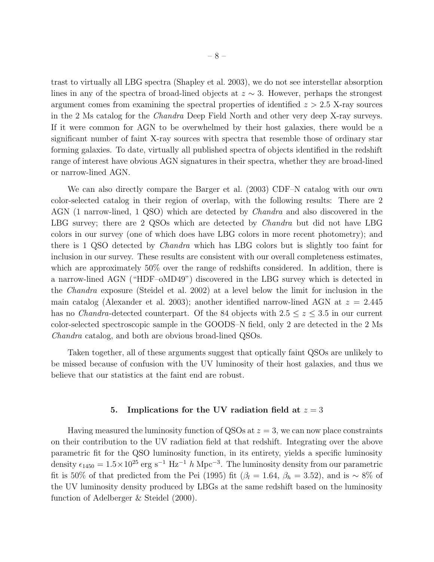trast to virtually all LBG spectra (Shapley et al. 2003), we do not see interstellar absorption lines in any of the spectra of broad-lined objects at  $z \sim 3$ . However, perhaps the strongest argument comes from examining the spectral properties of identified  $z > 2.5$  X-ray sources in the 2 Ms catalog for the Chandra Deep Field North and other very deep X-ray surveys. If it were common for AGN to be overwhelmed by their host galaxies, there would be a significant number of faint X-ray sources with spectra that resemble those of ordinary star forming galaxies. To date, virtually all published spectra of objects identified in the redshift range of interest have obvious AGN signatures in their spectra, whether they are broad-lined or narrow-lined AGN.

We can also directly compare the Barger et al. (2003) CDF–N catalog with our own color-selected catalog in their region of overlap, with the following results: There are 2 AGN (1 narrow-lined, 1 QSO) which are detected by Chandra and also discovered in the LBG survey; there are 2 QSOs which are detected by *Chandra* but did not have LBG colors in our survey (one of which does have LBG colors in more recent photometry); and there is 1 QSO detected by Chandra which has LBG colors but is slightly too faint for inclusion in our survey. These results are consistent with our overall completeness estimates, which are approximately 50% over the range of redshifts considered. In addition, there is a narrow-lined AGN ("HDF–oMD49") discovered in the LBG survey which is detected in the Chandra exposure (Steidel et al. 2002) at a level below the limit for inclusion in the main catalog (Alexander et al. 2003); another identified narrow-lined AGN at  $z = 2.445$ has no *Chandra*-detected counterpart. Of the 84 objects with  $2.5 \le z \le 3.5$  in our current color-selected spectroscopic sample in the GOODS–N field, only 2 are detected in the 2 Ms Chandra catalog, and both are obvious broad-lined QSOs.

Taken together, all of these arguments suggest that optically faint QSOs are unlikely to be missed because of confusion with the UV luminosity of their host galaxies, and thus we believe that our statistics at the faint end are robust.

# 5. Implications for the UV radiation field at  $z = 3$

Having measured the luminosity function of QSOs at  $z = 3$ , we can now place constraints on their contribution to the UV radiation field at that redshift. Integrating over the above parametric fit for the QSO luminosity function, in its entirety, yields a specific luminosity density  $\epsilon_{1450} = 1.5 \times 10^{25} \text{ erg s}^{-1} \text{ Hz}^{-1}$  h Mpc<sup>-3</sup>. The luminosity density from our parametric fit is 50% of that predicted from the Pei (1995) fit ( $\beta_l = 1.64$ ,  $\beta_h = 3.52$ ), and is ~ 8% of the UV luminosity density produced by LBGs at the same redshift based on the luminosity function of Adelberger & Steidel (2000).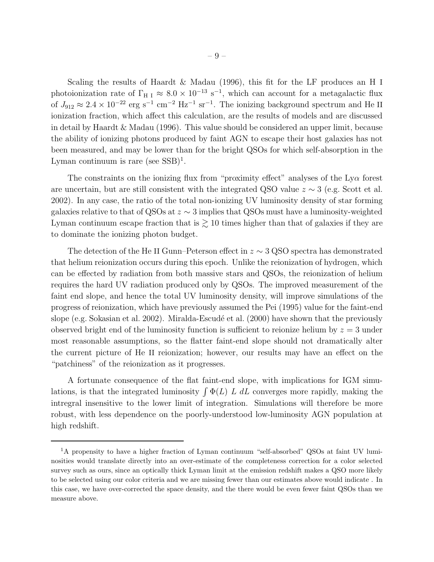Scaling the results of Haardt & Madau (1996), this fit for the LF produces an H I photoionization rate of  $\Gamma_{\text{H I}} \approx 8.0 \times 10^{-13} \text{ s}^{-1}$ , which can account for a metagalactic flux of  $J_{912} \approx 2.4 \times 10^{-22}$  erg s<sup>-1</sup> cm<sup>-2</sup> Hz<sup>-1</sup> sr<sup>-1</sup>. The ionizing background spectrum and He II ionization fraction, which affect this calculation, are the results of models and are discussed in detail by Haardt & Madau (1996). This value should be considered an upper limit, because the ability of ionizing photons produced by faint AGN to escape their host galaxies has not been measured, and may be lower than for the bright QSOs for which self-absorption in the Lyman continuum is rare (see  $SSB$ )<sup>1</sup>.

The constraints on the ionizing flux from "proximity effect" analyses of the  $Ly\alpha$  forest are uncertain, but are still consistent with the integrated QSO value  $z \sim 3$  (e.g. Scott et al. 2002). In any case, the ratio of the total non-ionizing UV luminosity density of star forming galaxies relative to that of QSOs at  $z \sim 3$  implies that QSOs must have a luminosity-weighted Lyman continuum escape fraction that is  $\gtrsim$  10 times higher than that of galaxies if they are to dominate the ionizing photon budget.

The detection of the He II Gunn–Peterson effect in  $z \sim 3$  QSO spectra has demonstrated that helium reionization occurs during this epoch. Unlike the reionization of hydrogen, which can be effected by radiation from both massive stars and QSOs, the reionization of helium requires the hard UV radiation produced only by QSOs. The improved measurement of the faint end slope, and hence the total UV luminosity density, will improve simulations of the progress of reionization, which have previously assumed the Pei (1995) value for the faint-end slope (e.g. Sokasian et al. 2002). Miralda-Escudé et al. (2000) have shown that the previously observed bright end of the luminosity function is sufficient to reionize helium by  $z = 3$  under most reasonable assumptions, so the flatter faint-end slope should not dramatically alter the current picture of He II reionization; however, our results may have an effect on the "patchiness" of the reionization as it progresses.

A fortunate consequence of the flat faint-end slope, with implications for IGM simulations, is that the integrated luminosity  $\int \Phi(L) L \, dL$  converges more rapidly, making the intregral insensitive to the lower limit of integration. Simulations will therefore be more robust, with less dependence on the poorly-understood low-luminosity AGN population at high redshift.

<sup>&</sup>lt;sup>1</sup>A propensity to have a higher fraction of Lyman continuum "self-absorbed" QSOs at faint UV luminosities would translate directly into an over-estimate of the completeness correction for a color selected survey such as ours, since an optically thick Lyman limit at the emission redshift makes a QSO more likely to be selected using our color criteria and we are missing fewer than our estimates above would indicate . In this case, we have over-corrected the space density, and the there would be even fewer faint QSOs than we measure above.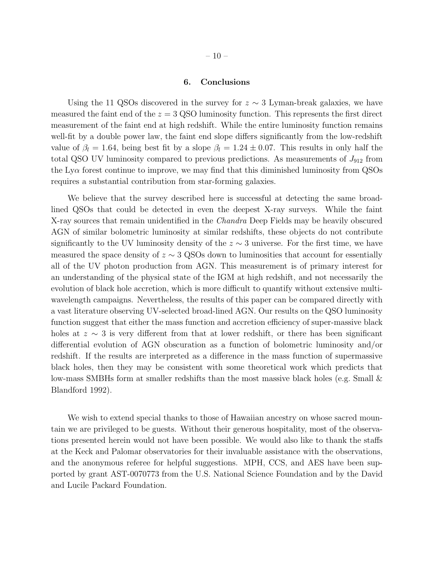# 6. Conclusions

Using the 11 QSOs discovered in the survey for  $z \sim 3$  Lyman-break galaxies, we have measured the faint end of the  $z = 3$  QSO luminosity function. This represents the first direct measurement of the faint end at high redshift. While the entire luminosity function remains well-fit by a double power law, the faint end slope differs significantly from the low-redshift value of  $\beta_l = 1.64$ , being best fit by a slope  $\beta_l = 1.24 \pm 0.07$ . This results in only half the total QSO UV luminosity compared to previous predictions. As measurements of  $J_{912}$  from the  $Ly\alpha$  forest continue to improve, we may find that this diminished luminosity from QSOs requires a substantial contribution from star-forming galaxies.

We believe that the survey described here is successful at detecting the same broadlined QSOs that could be detected in even the deepest X-ray surveys. While the faint X-ray sources that remain unidentified in the *Chandra* Deep Fields may be heavily obscured AGN of similar bolometric luminosity at similar redshifts, these objects do not contribute significantly to the UV luminosity density of the  $z \sim 3$  universe. For the first time, we have measured the space density of  $z \sim 3$  QSOs down to luminosities that account for essentially all of the UV photon production from AGN. This measurement is of primary interest for an understanding of the physical state of the IGM at high redshift, and not necessarily the evolution of black hole accretion, which is more difficult to quantify without extensive multiwavelength campaigns. Nevertheless, the results of this paper can be compared directly with a vast literature observing UV-selected broad-lined AGN. Our results on the QSO luminosity function suggest that either the mass function and accretion efficiency of super-massive black holes at  $z \sim 3$  is very different from that at lower redshift, or there has been significant differential evolution of AGN obscuration as a function of bolometric luminosity and/or redshift. If the results are interpreted as a difference in the mass function of supermassive black holes, then they may be consistent with some theoretical work which predicts that low-mass SMBHs form at smaller redshifts than the most massive black holes (e.g. Small & Blandford 1992).

We wish to extend special thanks to those of Hawaiian ancestry on whose sacred mountain we are privileged to be guests. Without their generous hospitality, most of the observations presented herein would not have been possible. We would also like to thank the staffs at the Keck and Palomar observatories for their invaluable assistance with the observations, and the anonymous referee for helpful suggestions. MPH, CCS, and AES have been supported by grant AST-0070773 from the U.S. National Science Foundation and by the David and Lucile Packard Foundation.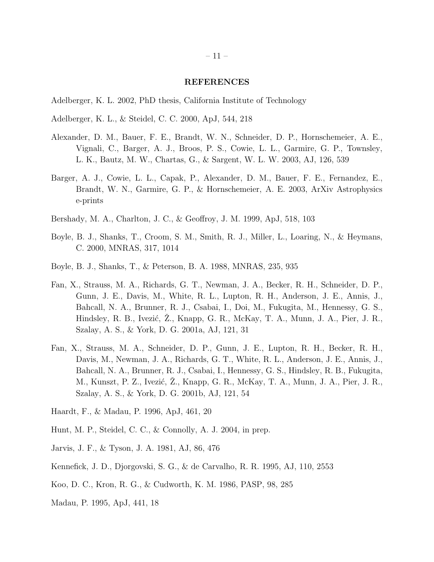#### REFERENCES

- Adelberger, K. L. 2002, PhD thesis, California Institute of Technology
- Adelberger, K. L., & Steidel, C. C. 2000, ApJ, 544, 218
- Alexander, D. M., Bauer, F. E., Brandt, W. N., Schneider, D. P., Hornschemeier, A. E., Vignali, C., Barger, A. J., Broos, P. S., Cowie, L. L., Garmire, G. P., Townsley, L. K., Bautz, M. W., Chartas, G., & Sargent, W. L. W. 2003, AJ, 126, 539
- Barger, A. J., Cowie, L. L., Capak, P., Alexander, D. M., Bauer, F. E., Fernandez, E., Brandt, W. N., Garmire, G. P., & Hornschemeier, A. E. 2003, ArXiv Astrophysics e-prints
- Bershady, M. A., Charlton, J. C., & Geoffroy, J. M. 1999, ApJ, 518, 103
- Boyle, B. J., Shanks, T., Croom, S. M., Smith, R. J., Miller, L., Loaring, N., & Heymans, C. 2000, MNRAS, 317, 1014
- Boyle, B. J., Shanks, T., & Peterson, B. A. 1988, MNRAS, 235, 935
- Fan, X., Strauss, M. A., Richards, G. T., Newman, J. A., Becker, R. H., Schneider, D. P., Gunn, J. E., Davis, M., White, R. L., Lupton, R. H., Anderson, J. E., Annis, J., Bahcall, N. A., Brunner, R. J., Csabai, I., Doi, M., Fukugita, M., Hennessy, G. S., Hindsley, R. B., Ivezić, Z., Knapp, G. R., McKay, T. A., Munn, J. A., Pier, J. R., Szalay, A. S., & York, D. G. 2001a, AJ, 121, 31
- Fan, X., Strauss, M. A., Schneider, D. P., Gunn, J. E., Lupton, R. H., Becker, R. H., Davis, M., Newman, J. A., Richards, G. T., White, R. L., Anderson, J. E., Annis, J., Bahcall, N. A., Brunner, R. J., Csabai, I., Hennessy, G. S., Hindsley, R. B., Fukugita, M., Kunszt, P. Z., Ivezić, Ż., Knapp, G. R., McKay, T. A., Munn, J. A., Pier, J. R., Szalay, A. S., & York, D. G. 2001b, AJ, 121, 54
- Haardt, F., & Madau, P. 1996, ApJ, 461, 20
- Hunt, M. P., Steidel, C. C., & Connolly, A. J. 2004, in prep.
- Jarvis, J. F., & Tyson, J. A. 1981, AJ, 86, 476
- Kennefick, J. D., Djorgovski, S. G., & de Carvalho, R. R. 1995, AJ, 110, 2553
- Koo, D. C., Kron, R. G., & Cudworth, K. M. 1986, PASP, 98, 285
- Madau, P. 1995, ApJ, 441, 18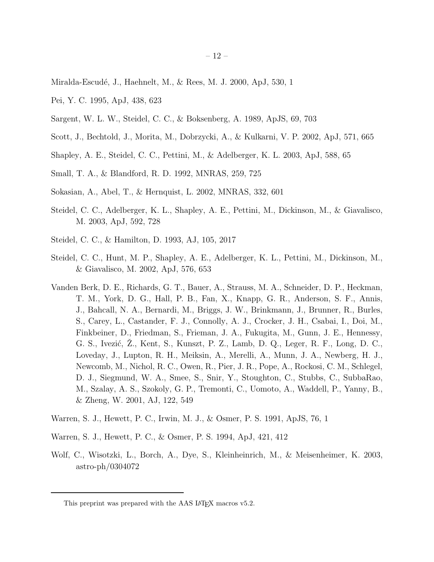- Miralda-Escudé, J., Haehnelt, M., & Rees, M. J. 2000, ApJ, 530, 1
- Pei, Y. C. 1995, ApJ, 438, 623
- Sargent, W. L. W., Steidel, C. C., & Boksenberg, A. 1989, ApJS, 69, 703
- Scott, J., Bechtold, J., Morita, M., Dobrzycki, A., & Kulkarni, V. P. 2002, ApJ, 571, 665
- Shapley, A. E., Steidel, C. C., Pettini, M., & Adelberger, K. L. 2003, ApJ, 588, 65
- Small, T. A., & Blandford, R. D. 1992, MNRAS, 259, 725
- Sokasian, A., Abel, T., & Hernquist, L. 2002, MNRAS, 332, 601
- Steidel, C. C., Adelberger, K. L., Shapley, A. E., Pettini, M., Dickinson, M., & Giavalisco, M. 2003, ApJ, 592, 728
- Steidel, C. C., & Hamilton, D. 1993, AJ, 105, 2017
- Steidel, C. C., Hunt, M. P., Shapley, A. E., Adelberger, K. L., Pettini, M., Dickinson, M., & Giavalisco, M. 2002, ApJ, 576, 653
- Vanden Berk, D. E., Richards, G. T., Bauer, A., Strauss, M. A., Schneider, D. P., Heckman, T. M., York, D. G., Hall, P. B., Fan, X., Knapp, G. R., Anderson, S. F., Annis, J., Bahcall, N. A., Bernardi, M., Briggs, J. W., Brinkmann, J., Brunner, R., Burles, S., Carey, L., Castander, F. J., Connolly, A. J., Crocker, J. H., Csabai, I., Doi, M., Finkbeiner, D., Friedman, S., Frieman, J. A., Fukugita, M., Gunn, J. E., Hennessy, G. S., Ivezić, Z., Kent, S., Kunszt, P. Z., Lamb, D. Q., Leger, R. F., Long, D. C., Loveday, J., Lupton, R. H., Meiksin, A., Merelli, A., Munn, J. A., Newberg, H. J., Newcomb, M., Nichol, R. C., Owen, R., Pier, J. R., Pope, A., Rockosi, C. M., Schlegel, D. J., Siegmund, W. A., Smee, S., Snir, Y., Stoughton, C., Stubbs, C., SubbaRao, M., Szalay, A. S., Szokoly, G. P., Tremonti, C., Uomoto, A., Waddell, P., Yanny, B., & Zheng, W. 2001, AJ, 122, 549
- Warren, S. J., Hewett, P. C., Irwin, M. J., & Osmer, P. S. 1991, ApJS, 76, 1
- Warren, S. J., Hewett, P. C., & Osmer, P. S. 1994, ApJ, 421, 412
- Wolf, C., Wisotzki, L., Borch, A., Dye, S., Kleinheinrich, M., & Meisenheimer, K. 2003, astro-ph/0304072

This preprint was prepared with the AAS LAT<sub>E</sub>X macros v5.2.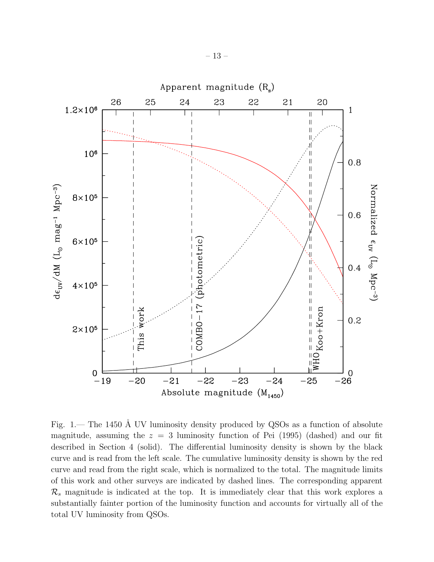

Fig. 1.— The 1450 Å UV luminosity density produced by QSOs as a function of absolute magnitude, assuming the  $z = 3$  luminosity function of Pei (1995) (dashed) and our fit described in Section 4 (solid). The differential luminosity density is shown by the black curve and is read from the left scale. The cumulative luminosity density is shown by the red curve and read from the right scale, which is normalized to the total. The magnitude limits of this work and other surveys are indicated by dashed lines. The corresponding apparent  $\mathcal{R}_s$  magnitude is indicated at the top. It is immediately clear that this work explores a substantially fainter portion of the luminosity function and accounts for virtually all of the total UV luminosity from QSOs.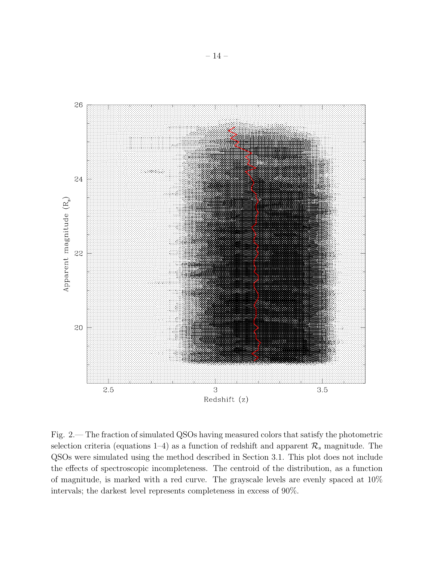

Fig. 2.— The fraction of simulated QSOs having measured colors that satisfy the photometric selection criteria (equations 1–4) as a function of redshift and apparent  $\mathcal{R}_s$  magnitude. The QSOs were simulated using the method described in Section 3.1. This plot does not include the effects of spectroscopic incompleteness. The centroid of the distribution, as a function of magnitude, is marked with a red curve. The grayscale levels are evenly spaced at 10% intervals; the darkest level represents completeness in excess of 90%.